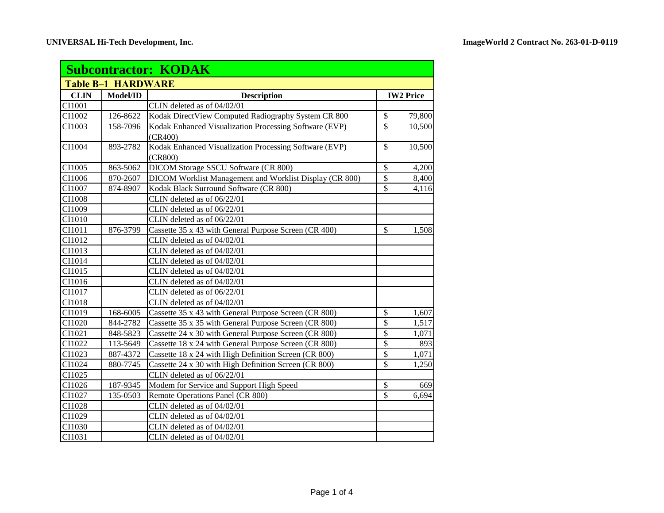| <b>Subcontractor: KODAK</b> |          |                                                                   |                           |        |  |
|-----------------------------|----------|-------------------------------------------------------------------|---------------------------|--------|--|
| <b>Table B-1 HARDWARE</b>   |          |                                                                   |                           |        |  |
| <b>CLIN</b>                 | Model/ID | <b>Description</b>                                                | <b>IW2 Price</b>          |        |  |
| CI1001                      |          | CLIN deleted as of 04/02/01                                       |                           |        |  |
| CI1002                      | 126-8622 | Kodak DirectView Computed Radiography System CR 800               | $\overline{\$}$           | 79,800 |  |
| CI1003                      | 158-7096 | Kodak Enhanced Visualization Processing Software (EVP)            | $\overline{\mathcal{S}}$  | 10,500 |  |
|                             |          | (CR400)                                                           |                           |        |  |
| CI1004                      | 893-2782 | Kodak Enhanced Visualization Processing Software (EVP)<br>(CR800) | $\mathbb{S}$              | 10,500 |  |
| CI1005                      | 863-5062 | DICOM Storage SSCU Software (CR 800)                              | $\mathcal{S}$             | 4,200  |  |
| CI1006                      | 870-2607 | DICOM Worklist Management and Worklist Display (CR 800)           | $\mathbb{S}$              | 8,400  |  |
| CI1007                      | 874-8907 | Kodak Black Surround Software (CR 800)                            | $\mathbb{S}$              | 4,116  |  |
| CI1008                      |          | CLIN deleted as of 06/22/01                                       |                           |        |  |
| CI1009                      |          | CLIN deleted as of 06/22/01                                       |                           |        |  |
| CI1010                      |          | CLIN deleted as of 06/22/01                                       |                           |        |  |
| CI1011                      | 876-3799 | Cassette 35 x 43 with General Purpose Screen (CR 400)             | \$                        | 1,508  |  |
| CI1012                      |          | CLIN deleted as of 04/02/01                                       |                           |        |  |
| CI1013                      |          | CLIN deleted as of 04/02/01                                       |                           |        |  |
| CI1014                      |          | CLIN deleted as of 04/02/01                                       |                           |        |  |
| CI1015                      |          | CLIN deleted as of 04/02/01                                       |                           |        |  |
| CI1016                      |          | CLIN deleted as of 04/02/01                                       |                           |        |  |
| CI1017                      |          | CLIN deleted as of 06/22/01                                       |                           |        |  |
| CI1018                      |          | CLIN deleted as of 04/02/01                                       |                           |        |  |
| CI1019                      | 168-6005 | Cassette 35 x 43 with General Purpose Screen (CR 800)             | $\boldsymbol{\mathsf{S}}$ | 1,607  |  |
| CI1020                      | 844-2782 | Cassette 35 x 35 with General Purpose Screen (CR 800)             | $\mathcal{S}$             | 1,517  |  |
| CI1021                      | 848-5823 | Cassette 24 x 30 with General Purpose Screen (CR 800)             | $\overline{\$}$           | 1,071  |  |
| CI1022                      | 113-5649 | Cassette 18 x 24 with General Purpose Screen (CR 800)             | \$                        | 893    |  |
| CI1023                      | 887-4372 | Cassette 18 x 24 with High Definition Screen (CR 800)             | $\mathsf{\$}$             | 1,071  |  |
| CI1024                      | 880-7745 | Cassette 24 x 30 with High Definition Screen (CR 800)             | \$                        | 1,250  |  |
| CI1025                      |          | CLIN deleted as of 06/22/01                                       |                           |        |  |
| CI1026                      | 187-9345 | Modem for Service and Support High Speed                          | $\overline{\mathcal{S}}$  | 669    |  |
| CI1027                      | 135-0503 | Remote Operations Panel (CR 800)                                  | $\mathbf{\hat{S}}$        | 6,694  |  |
| CI1028                      |          | CLIN deleted as of 04/02/01                                       |                           |        |  |
| CI1029                      |          | CLIN deleted as of 04/02/01                                       |                           |        |  |
| CI1030                      |          | CLIN deleted as of 04/02/01                                       |                           |        |  |
| CI1031                      |          | CLIN deleted as of 04/02/01                                       |                           |        |  |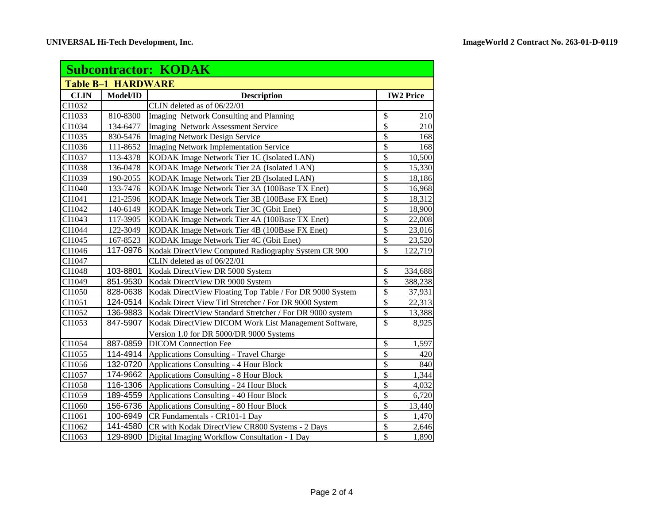| <b>Subcontractor: KODAK</b> |          |                                                          |                          |                  |  |
|-----------------------------|----------|----------------------------------------------------------|--------------------------|------------------|--|
| <b>Table B-1 HARDWARE</b>   |          |                                                          |                          |                  |  |
| <b>CLIN</b>                 | Model/ID | <b>Description</b>                                       |                          | <b>IW2 Price</b> |  |
| CI1032                      |          | CLIN deleted as of 06/22/01                              |                          |                  |  |
| CI1033                      | 810-8300 | Imaging Network Consulting and Planning                  | \$                       | 210              |  |
| CI1034                      | 134-6477 | Imaging Network Assessment Service                       | $\overline{\$}$          | 210              |  |
| CI1035                      | 830-5476 | <b>Imaging Network Design Service</b>                    | \$                       | 168              |  |
| CI1036                      | 111-8652 | <b>Imaging Network Implementation Service</b>            | $\overline{\$}$          | 168              |  |
| CI1037                      | 113-4378 | KODAK Image Network Tier 1C (Isolated LAN)               | \$                       | 10,500           |  |
| CI1038                      | 136-0478 | KODAK Image Network Tier 2A (Isolated LAN)               | \$                       | 15,330           |  |
| CI1039                      | 190-2055 | KODAK Image Network Tier 2B (Isolated LAN)               | \$                       | 18,186           |  |
| CI1040                      | 133-7476 | KODAK Image Network Tier 3A (100Base TX Enet)            | \$                       | 16,968           |  |
| CI1041                      | 121-2596 | KODAK Image Network Tier 3B (100Base FX Enet)            | \$                       | 18,312           |  |
| CI1042                      | 140-6149 | KODAK Image Network Tier 3C (Gbit Enet)                  | $\overline{\$}$          | 18,900           |  |
| CI1043                      | 117-3905 | KODAK Image Network Tier 4A (100Base TX Enet)            | \$                       | 22,008           |  |
| CI1044                      | 122-3049 | KODAK Image Network Tier 4B (100Base FX Enet)            | $\overline{\$}$          | 23,016           |  |
| CI1045                      | 167-8523 | KODAK Image Network Tier 4C (Gbit Enet)                  | \$                       | 23,520           |  |
| CI1046                      | 117-0976 | Kodak DirectView Computed Radiography System CR 900      | \$                       | 122,719          |  |
| CI1047                      |          | CLIN deleted as of 06/22/01                              |                          |                  |  |
| CI1048                      | 103-8801 | Kodak DirectView DR 5000 System                          | $\mathcal{S}$            | 334,688          |  |
| CI1049                      | 851-9530 | Kodak DirectView DR 9000 System                          | $\overline{\mathcal{S}}$ | 388,238          |  |
| CI1050                      | 828-0638 | Kodak DirectView Floating Top Table / For DR 9000 System | $\overline{\$}$          | 37,931           |  |
| CI1051                      | 124-0514 | Kodak Direct View Titl Stretcher / For DR 9000 System    | $\mathsf{\$}$            | 22,313           |  |
| CI1052                      | 136-9883 | Kodak DirectView Standard Stretcher / For DR 9000 system | \$                       | 13,388           |  |
| CI1053                      | 847-5907 | Kodak DirectView DICOM Work List Management Software,    | $\mathbf{\hat{S}}$       | 8,925            |  |
|                             |          | Version 1.0 for DR 5000/DR 9000 Systems                  |                          |                  |  |
| CI1054                      | 887-0859 | <b>DICOM</b> Connection Fee                              | \$                       | 1,597            |  |
| CI1055                      | 114-4914 | <b>Applications Consulting - Travel Charge</b>           | $\overline{\$}$          | 420              |  |
| CI1056                      | 132-0720 | Applications Consulting - 4 Hour Block                   | $\overline{\$}$          | 840              |  |
| CI1057                      | 174-9662 | Applications Consulting - 8 Hour Block                   | $\overline{\$}$          | 1,344            |  |
| CI1058                      | 116-1306 | <b>Applications Consulting - 24 Hour Block</b>           | $\overline{\$}$          | 4,032            |  |
| CI1059                      | 189-4559 | <b>Applications Consulting - 40 Hour Block</b>           | $\overline{\mathbb{S}}$  | 6,720            |  |
| CI1060                      | 156-6736 | <b>Applications Consulting - 80 Hour Block</b>           | $\overline{\mathcal{S}}$ | 13,440           |  |
| CI1061                      | 100-6949 | CR Fundamentals - CR101-1 Day                            | $\overline{\mathcal{S}}$ | 1,470            |  |
| CI1062                      | 141-4580 | CR with Kodak DirectView CR800 Systems - 2 Days          | \$                       | 2,646            |  |
| CI1063                      | 129-8900 | Digital Imaging Workflow Consultation - 1 Day            | $\overline{\mathcal{S}}$ | 1,890            |  |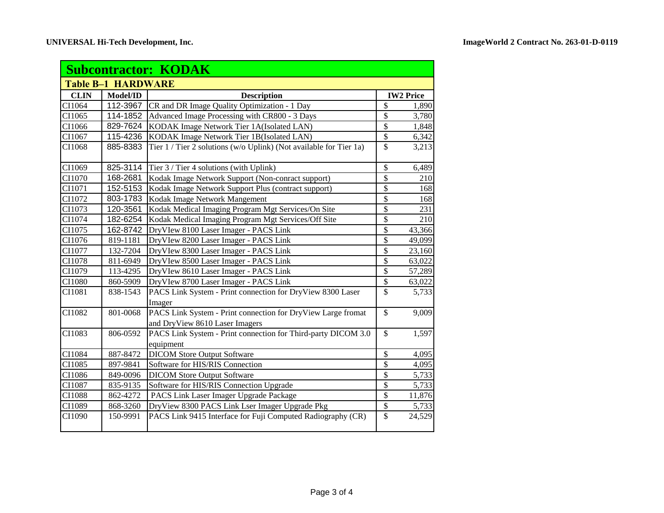| <b>Subcontractor: KODAK</b> |                           |                                                                                                |                          |        |
|-----------------------------|---------------------------|------------------------------------------------------------------------------------------------|--------------------------|--------|
|                             | <b>Table B-1 HARDWARE</b> |                                                                                                |                          |        |
| <b>CLIN</b>                 | Model/ID                  | <b>Description</b>                                                                             | <b>IW2 Price</b>         |        |
| CI1064                      | 112-3967                  | CR and DR Image Quality Optimization - 1 Day                                                   | $\mathcal{S}$            | 1,890  |
| CI1065                      | 114-1852                  | Advanced Image Processing with CR800 - 3 Days                                                  | $\mathcal{S}$            | 3,780  |
| CI1066                      | 829-7624                  | KODAK Image Network Tier 1A(Isolated LAN)                                                      | \$                       | 1,848  |
| CI1067                      | 115-4236                  | KODAK Image Network Tier 1B(Isolated LAN)                                                      | \$                       | 6,342  |
| CI1068                      | 885-8383                  | Tier 1 / Tier 2 solutions (w/o Uplink) (Not available for Tier 1a)                             | \$                       | 3,213  |
| CI1069                      | 825-3114                  | Tier 3 / Tier 4 solutions (with Uplink)                                                        | \$                       | 6,489  |
| CI1070                      | 168-2681                  | Kodak Image Network Support (Non-conract support)                                              | $\overline{\mathcal{S}}$ | 210    |
| CI1071                      | 152-5153                  | Kodak Image Network Support Plus (contract support)                                            | \$                       | 168    |
| CI1072                      | 803-1783                  | Kodak Image Network Mangement                                                                  | \$                       | 168    |
| CI1073                      | 120-3561                  | Kodak Medical Imaging Program Mgt Services/On Site                                             | \$                       | 231    |
| CI1074                      | 182-6254                  | Kodak Medical Imaging Program Mgt Services/Off Site                                            | $\overline{\$}$          | 210    |
| CI1075                      | 162-8742                  | DryVIew 8100 Laser Imager - PACS Link                                                          | \$                       | 43,366 |
| CI1076                      | 819-1181                  | DryVIew 8200 Laser Imager - PACS Link                                                          | \$                       | 49,099 |
| CI1077                      | 132-7204                  | DryVIew 8300 Laser Imager - PACS Link                                                          | \$                       | 23,160 |
| CI1078                      | 811-6949                  | DryVIew 8500 Laser Imager - PACS Link                                                          | \$                       | 63,022 |
| CI1079                      | 113-4295                  | DryVIew 8610 Laser Imager - PACS Link                                                          | \$                       | 57,289 |
| CI1080                      | 860-5909                  | DryVIew 8700 Laser Imager - PACS Link                                                          | $\overline{\$}$          | 63,022 |
| CI1081                      | 838-1543                  | PACS Link System - Print connection for DryView 8300 Laser<br>Imager                           | $\mathcal{S}$            | 5,733  |
| CI1082                      | 801-0068                  | PACS Link System - Print connection for DryView Large fromat<br>and DryView 8610 Laser Imagers | $\mathbf{\hat{S}}$       | 9,009  |
| CI1083                      | 806-0592                  | PACS Link System - Print connection for Third-party DICOM 3.0<br>equipment                     | $\mathbb{S}$             | 1,597  |
| CI1084                      | 887-8472                  | <b>DICOM Store Output Software</b>                                                             | \$                       | 4,095  |
| CI1085                      | 897-9841                  | Software for HIS/RIS Connection                                                                | \$                       | 4,095  |
| CI1086                      | 849-0096                  | <b>DICOM Store Output Software</b>                                                             | \$                       | 5,733  |
| CI1087                      | 835-9135                  | Software for HIS/RIS Connection Upgrade                                                        | $\overline{\mathcal{S}}$ | 5,733  |
| CI1088                      | 862-4272                  | PACS Link Laser Imager Upgrade Package                                                         | $\overline{\$}$          | 11,876 |
| CI1089                      | 868-3260                  | DryView 8300 PACS Link Lser Imager Upgrade Pkg                                                 | $\overline{\$}$          | 5,733  |
| CI1090                      | 150-9991                  | PACS Link 9415 Interface for Fuji Computed Radiography (CR)                                    | \$                       | 24,529 |